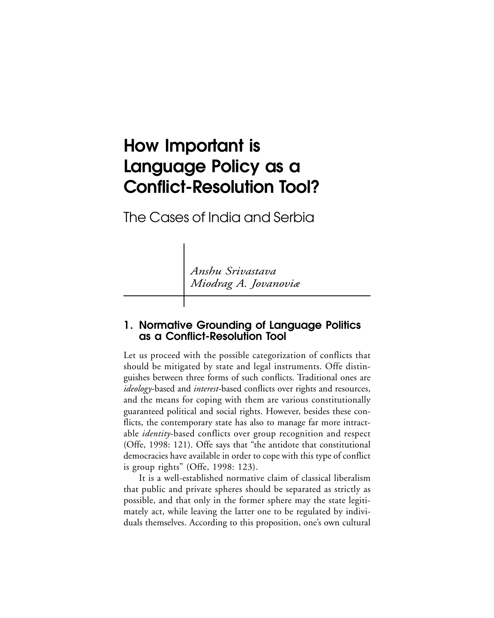# **How Important is Language Policy as a Conflict-Resolution Tool?**

The Cases of India and Serbia

*Anshu Srivastava Miodrag A. Jovanoviæ*

## **1. Normative Grounding of Language Politics as a Conflict-Resolution Tool**

Let us proceed with the possible categorization of conflicts that should be mitigated by state and legal instruments. Offe distinguishes between three forms of such conflicts. Traditional ones are *ideology*-based and *interest*-based conflicts over rights and resources, and the means for coping with them are various constitutionally guaranteed political and social rights. However, besides these conflicts, the contemporary state has also to manage far more intractable *identity*-based conflicts over group recognition and respect (Offe, 1998: 121). Offe says that "the antidote that constitutional democracies have available in order to cope with this type of conflict is group rights" (Offe, 1998: 123).

It is a well-established normative claim of classical liberalism that public and private spheres should be separated as strictly as possible, and that only in the former sphere may the state legitimately act, while leaving the latter one to be regulated by individuals themselves. According to this proposition, one's own cultural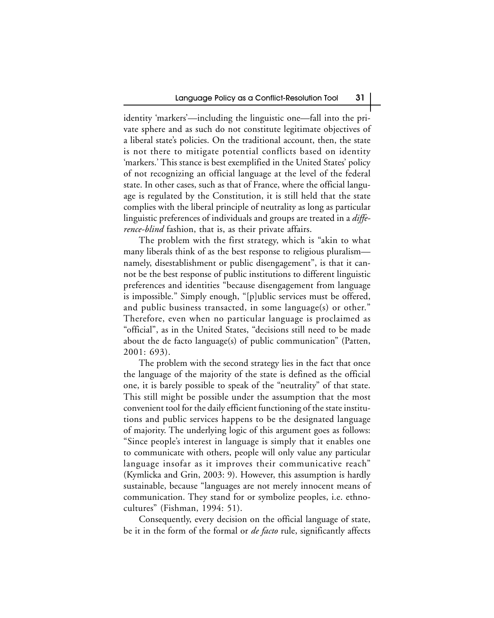identity 'markers'—including the linguistic one—fall into the private sphere and as such do not constitute legitimate objectives of a liberal state's policies. On the traditional account, then, the state is not there to mitigate potential conflicts based on identity 'markers.' This stance is best exemplified in the United States' policy of not recognizing an official language at the level of the federal state. In other cases, such as that of France, where the official language is regulated by the Constitution, it is still held that the state complies with the liberal principle of neutrality as long as particular linguistic preferences of individuals and groups are treated in a *difference-blind* fashion, that is, as their private affairs.

The problem with the first strategy, which is "akin to what many liberals think of as the best response to religious pluralism namely, disestablishment or public disengagement", is that it cannot be the best response of public institutions to different linguistic preferences and identities "because disengagement from language is impossible." Simply enough, "[p]ublic services must be offered, and public business transacted, in some language(s) or other." Therefore, even when no particular language is proclaimed as "official", as in the United States, "decisions still need to be made about the de facto language(s) of public communication" (Patten, 2001: 693).

The problem with the second strategy lies in the fact that once the language of the majority of the state is defined as the official one, it is barely possible to speak of the "neutrality" of that state. This still might be possible under the assumption that the most convenient tool for the daily efficient functioning of the state institutions and public services happens to be the designated language of majority. The underlying logic of this argument goes as follows: "Since people's interest in language is simply that it enables one to communicate with others, people will only value any particular language insofar as it improves their communicative reach" (Kymlicka and Grin, 2003: 9). However, this assumption is hardly sustainable, because "languages are not merely innocent means of communication. They stand for or symbolize peoples, i.e. ethnocultures" (Fishman, 1994: 51).

Consequently, every decision on the official language of state, be it in the form of the formal or *de facto* rule, significantly affects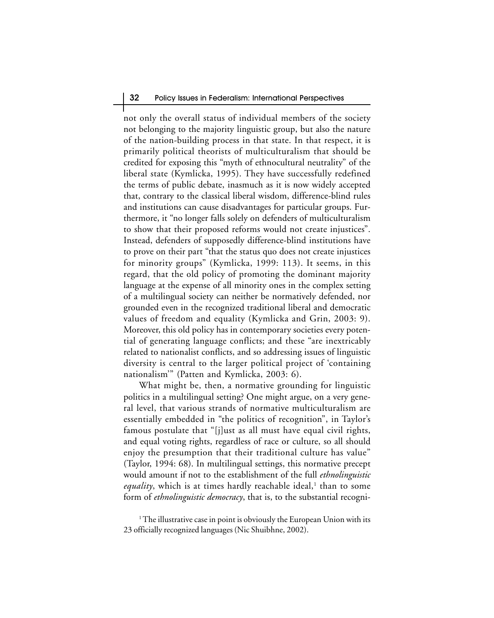#### 32 Policy Issues in Federalism: International Perspectives

not only the overall status of individual members of the society not belonging to the majority linguistic group, but also the nature of the nation-building process in that state. In that respect, it is primarily political theorists of multiculturalism that should be credited for exposing this "myth of ethnocultural neutrality" of the liberal state (Kymlicka, 1995). They have successfully redefined the terms of public debate, inasmuch as it is now widely accepted that, contrary to the classical liberal wisdom, difference-blind rules and institutions can cause disadvantages for particular groups. Furthermore, it "no longer falls solely on defenders of multiculturalism to show that their proposed reforms would not create injustices". Instead, defenders of supposedly difference-blind institutions have to prove on their part "that the status quo does not create injustices for minority groups" (Kymlicka, 1999: 113). It seems, in this regard, that the old policy of promoting the dominant majority language at the expense of all minority ones in the complex setting of a multilingual society can neither be normatively defended, nor grounded even in the recognized traditional liberal and democratic values of freedom and equality (Kymlicka and Grin, 2003: 9). Moreover, this old policy has in contemporary societies every potential of generating language conflicts; and these "are inextricably related to nationalist conflicts, and so addressing issues of linguistic diversity is central to the larger political project of 'containing nationalism'" (Patten and Kymlicka, 2003: 6).

What might be, then, a normative grounding for linguistic politics in a multilingual setting? One might argue, on a very general level, that various strands of normative multiculturalism are essentially embedded in "the politics of recognition", in Taylor's famous postulate that "[j]ust as all must have equal civil rights, and equal voting rights, regardless of race or culture, so all should enjoy the presumption that their traditional culture has value" (Taylor, 1994: 68). In multilingual settings, this normative precept would amount if not to the establishment of the full *ethnolinguistic equality*, which is at times hardly reachable ideal,<sup>1</sup> than to some form of *ethnolinguistic democracy*, that is, to the substantial recogni-

<sup>1</sup> The illustrative case in point is obviously the European Union with its 23 officially recognized languages (Nic Shuibhne, 2002).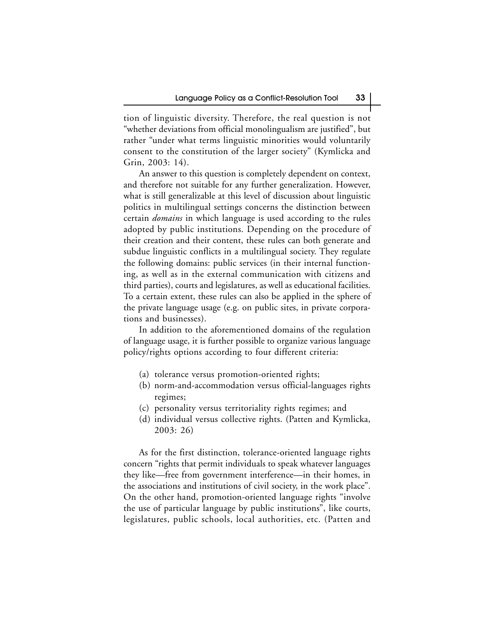tion of linguistic diversity. Therefore, the real question is not "whether deviations from official monolingualism are justified", but rather "under what terms linguistic minorities would voluntarily consent to the constitution of the larger society" (Kymlicka and Grin, 2003: 14).

An answer to this question is completely dependent on context, and therefore not suitable for any further generalization. However, what is still generalizable at this level of discussion about linguistic politics in multilingual settings concerns the distinction between certain *domains* in which language is used according to the rules adopted by public institutions. Depending on the procedure of their creation and their content, these rules can both generate and subdue linguistic conflicts in a multilingual society. They regulate the following domains: public services (in their internal functioning, as well as in the external communication with citizens and third parties), courts and legislatures, as well as educational facilities. To a certain extent, these rules can also be applied in the sphere of the private language usage (e.g. on public sites, in private corporations and businesses).

In addition to the aforementioned domains of the regulation of language usage, it is further possible to organize various language policy/rights options according to four different criteria:

- (a) tolerance versus promotion-oriented rights;
- (b) norm-and-accommodation versus official-languages rights regimes;
- (c) personality versus territoriality rights regimes; and
- (d) individual versus collective rights. (Patten and Kymlicka, 2003: 26)

As for the first distinction, tolerance-oriented language rights concern "rights that permit individuals to speak whatever languages they like—free from government interference—in their homes, in the associations and institutions of civil society, in the work place". On the other hand, promotion-oriented language rights "involve the use of particular language by public institutions", like courts, legislatures, public schools, local authorities, etc. (Patten and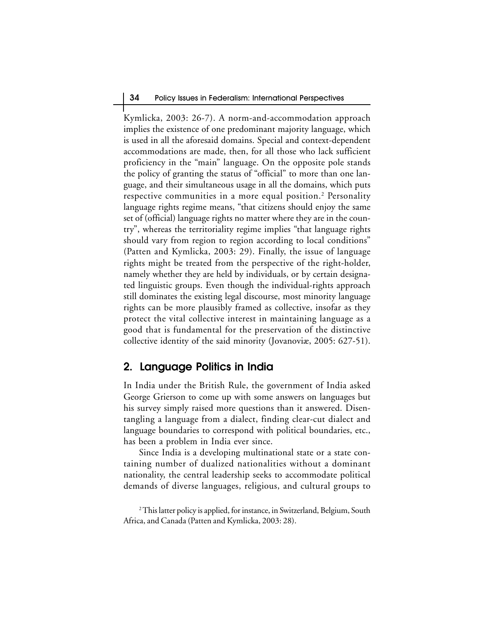Kymlicka, 2003: 26-7). A norm-and-accommodation approach implies the existence of one predominant majority language, which is used in all the aforesaid domains. Special and context-dependent accommodations are made, then, for all those who lack sufficient proficiency in the "main" language. On the opposite pole stands the policy of granting the status of "official" to more than one language, and their simultaneous usage in all the domains, which puts respective communities in a more equal position.<sup>2</sup> Personality language rights regime means, "that citizens should enjoy the same set of (official) language rights no matter where they are in the country", whereas the territoriality regime implies "that language rights should vary from region to region according to local conditions" (Patten and Kymlicka, 2003: 29). Finally, the issue of language rights might be treated from the perspective of the right-holder, namely whether they are held by individuals, or by certain designated linguistic groups. Even though the individual-rights approach still dominates the existing legal discourse, most minority language rights can be more plausibly framed as collective, insofar as they protect the vital collective interest in maintaining language as a good that is fundamental for the preservation of the distinctive collective identity of the said minority (Jovanoviæ, 2005: 627-51).

## **2. Language Politics in India**

In India under the British Rule, the government of India asked George Grierson to come up with some answers on languages but his survey simply raised more questions than it answered. Disentangling a language from a dialect, finding clear-cut dialect and language boundaries to correspond with political boundaries, etc., has been a problem in India ever since.

Since India is a developing multinational state or a state containing number of dualized nationalities without a dominant nationality, the central leadership seeks to accommodate political demands of diverse languages, religious, and cultural groups to

<sup>2</sup> This latter policy is applied, for instance, in Switzerland, Belgium, South Africa, and Canada (Patten and Kymlicka, 2003: 28).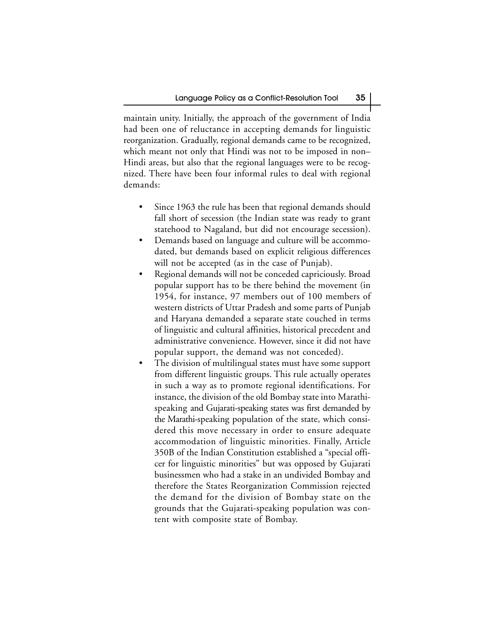maintain unity. Initially, the approach of the government of India had been one of reluctance in accepting demands for linguistic reorganization. Gradually, regional demands came to be recognized, which meant not only that Hindi was not to be imposed in non– Hindi areas, but also that the regional languages were to be recognized. There have been four informal rules to deal with regional demands:

- Since 1963 the rule has been that regional demands should fall short of secession (the Indian state was ready to grant statehood to Nagaland, but did not encourage secession).
- Demands based on language and culture will be accommodated, but demands based on explicit religious differences will not be accepted (as in the case of Punjab).
- Regional demands will not be conceded capriciously. Broad popular support has to be there behind the movement (in 1954, for instance, 97 members out of 100 members of western districts of Uttar Pradesh and some parts of Punjab and Haryana demanded a separate state couched in terms of linguistic and cultural affinities, historical precedent and administrative convenience. However, since it did not have popular support, the demand was not conceded).
- The division of multilingual states must have some support from different linguistic groups. This rule actually operates in such a way as to promote regional identifications. For instance, the division of the old Bombay state into Marathispeaking and Gujarati-speaking states was first demanded by the Marathi-speaking population of the state, which considered this move necessary in order to ensure adequate accommodation of linguistic minorities. Finally, Article 350B of the Indian Constitution established a "special officer for linguistic minorities" but was opposed by Gujarati businessmen who had a stake in an undivided Bombay and therefore the States Reorganization Commission rejected the demand for the division of Bombay state on the grounds that the Gujarati-speaking population was content with composite state of Bombay.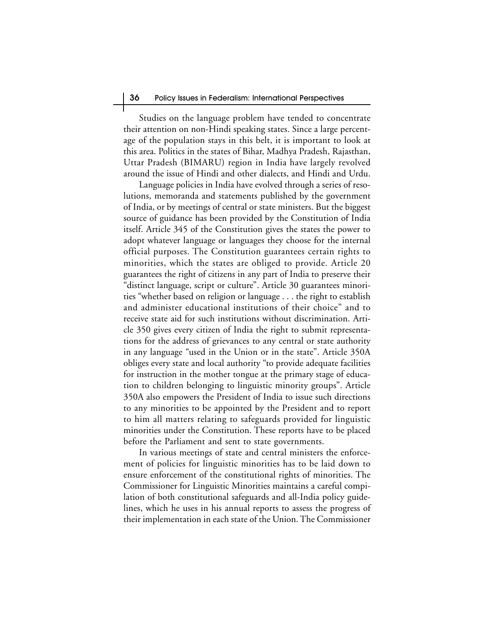Studies on the language problem have tended to concentrate their attention on non-Hindi speaking states. Since a large percentage of the population stays in this belt, it is important to look at this area. Politics in the states of Bihar, Madhya Pradesh, Rajasthan, Uttar Pradesh (BIMARU) region in India have largely revolved around the issue of Hindi and other dialects, and Hindi and Urdu.

Language policies in India have evolved through a series of resolutions, memoranda and statements published by the government of India, or by meetings of central or state ministers. But the biggest source of guidance has been provided by the Constitution of India itself. Article 345 of the Constitution gives the states the power to adopt whatever language or languages they choose for the internal official purposes. The Constitution guarantees certain rights to minorities, which the states are obliged to provide. Article 20 guarantees the right of citizens in any part of India to preserve their "distinct language, script or culture". Article 30 guarantees minorities "whether based on religion or language . . . the right to establish and administer educational institutions of their choice" and to receive state aid for such institutions without discrimination. Article 350 gives every citizen of India the right to submit representations for the address of grievances to any central or state authority in any language "used in the Union or in the state". Article 350A obliges every state and local authority "to provide adequate facilities for instruction in the mother tongue at the primary stage of education to children belonging to linguistic minority groups". Article 350A also empowers the President of India to issue such directions to any minorities to be appointed by the President and to report to him all matters relating to safeguards provided for linguistic minorities under the Constitution. These reports have to be placed before the Parliament and sent to state governments.

In various meetings of state and central ministers the enforcement of policies for linguistic minorities has to be laid down to ensure enforcement of the constitutional rights of minorities. The Commissioner for Linguistic Minorities maintains a careful compilation of both constitutional safeguards and all-India policy guidelines, which he uses in his annual reports to assess the progress of their implementation in each state of the Union. The Commissioner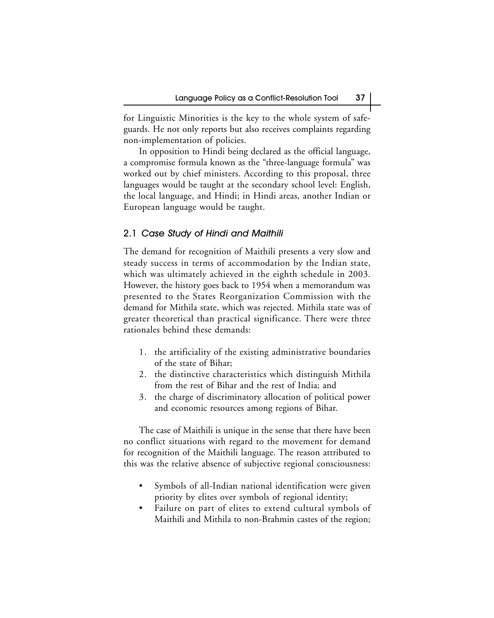for Linguistic Minorities is the key to the whole system of safeguards. He not only reports but also receives complaints regarding non-implementation of policies.

In opposition to Hindi being declared as the official language, a compromise formula known as the "three-language formula" was worked out by chief ministers. According to this proposal, three languages would be taught at the secondary school level: English, the local language, and Hindi; in Hindi areas, another Indian or European language would be taught.

#### 2.1 Case Study of Hindi and Maithili

The demand for recognition of Maithili presents a very slow and steady success in terms of accommodation by the Indian state, which was ultimately achieved in the eighth schedule in 2003. However, the history goes back to 1954 when a memorandum was presented to the States Reorganization Commission with the demand for Mithila state, which was rejected. Mithila state was of greater theoretical than practical significance. There were three rationales behind these demands:

- 1. the artificiality of the existing administrative boundaries of the state of Bihar;
- 2. the distinctive characteristics which distinguish Mithila from the rest of Bihar and the rest of India; and
- 3. the charge of discriminatory allocation of political power and economic resources among regions of Bihar.

The case of Maithili is unique in the sense that there have been no conflict situations with regard to the movement for demand for recognition of the Maithili language. The reason attributed to this was the relative absence of subjective regional consciousness:

- Symbols of all-Indian national identification were given priority by elites over symbols of regional identity;
- Failure on part of elites to extend cultural symbols of Maithili and Mithila to non-Brahmin castes of the region;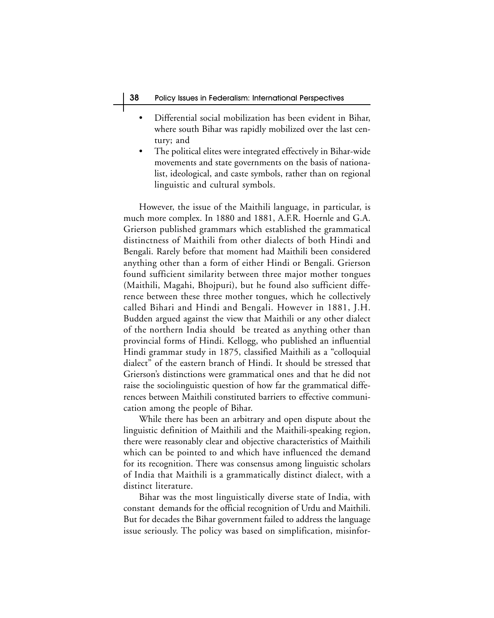- Differential social mobilization has been evident in Bihar, where south Bihar was rapidly mobilized over the last century; and
- The political elites were integrated effectively in Bihar-wide movements and state governments on the basis of nationalist, ideological, and caste symbols, rather than on regional linguistic and cultural symbols.

However, the issue of the Maithili language, in particular, is much more complex. In 1880 and 1881, A.F.R. Hoernle and G.A. Grierson published grammars which established the grammatical distinctness of Maithili from other dialects of both Hindi and Bengali. Rarely before that moment had Maithili been considered anything other than a form of either Hindi or Bengali. Grierson found sufficient similarity between three major mother tongues (Maithili, Magahi, Bhojpuri), but he found also sufficient difference between these three mother tongues, which he collectively called Bihari and Hindi and Bengali. However in 1881, J.H. Budden argued against the view that Maithili or any other dialect of the northern India should be treated as anything other than provincial forms of Hindi. Kellogg, who published an influential Hindi grammar study in 1875, classified Maithili as a "colloquial dialect" of the eastern branch of Hindi. It should be stressed that Grierson's distinctions were grammatical ones and that he did not raise the sociolinguistic question of how far the grammatical differences between Maithili constituted barriers to effective communication among the people of Bihar.

While there has been an arbitrary and open dispute about the linguistic definition of Maithili and the Maithili-speaking region, there were reasonably clear and objective characteristics of Maithili which can be pointed to and which have influenced the demand for its recognition. There was consensus among linguistic scholars of India that Maithili is a grammatically distinct dialect, with a distinct literature.

Bihar was the most linguistically diverse state of India, with constant demands for the official recognition of Urdu and Maithili. But for decades the Bihar government failed to address the language issue seriously. The policy was based on simplification, misinfor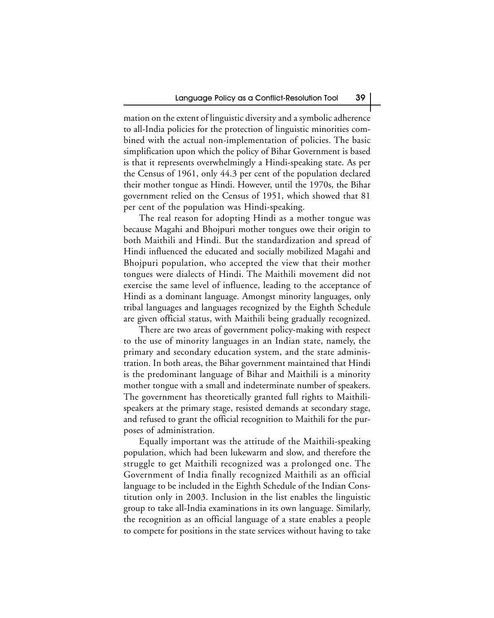mation on the extent of linguistic diversity and a symbolic adherence to all-India policies for the protection of linguistic minorities combined with the actual non-implementation of policies. The basic simplification upon which the policy of Bihar Government is based is that it represents overwhelmingly a Hindi-speaking state. As per the Census of 1961, only 44.3 per cent of the population declared their mother tongue as Hindi. However, until the 1970s, the Bihar government relied on the Census of 1951, which showed that 81 per cent of the population was Hindi-speaking.

The real reason for adopting Hindi as a mother tongue was because Magahi and Bhojpuri mother tongues owe their origin to both Maithili and Hindi. But the standardization and spread of Hindi influenced the educated and socially mobilized Magahi and Bhojpuri population, who accepted the view that their mother tongues were dialects of Hindi. The Maithili movement did not exercise the same level of influence, leading to the acceptance of Hindi as a dominant language. Amongst minority languages, only tribal languages and languages recognized by the Eighth Schedule are given official status, with Maithili being gradually recognized.

There are two areas of government policy-making with respect to the use of minority languages in an Indian state, namely, the primary and secondary education system, and the state administration. In both areas, the Bihar government maintained that Hindi is the predominant language of Bihar and Maithili is a minority mother tongue with a small and indeterminate number of speakers. The government has theoretically granted full rights to Maithilispeakers at the primary stage, resisted demands at secondary stage, and refused to grant the official recognition to Maithili for the purposes of administration.

Equally important was the attitude of the Maithili-speaking population, which had been lukewarm and slow, and therefore the struggle to get Maithili recognized was a prolonged one. The Government of India finally recognized Maithili as an official language to be included in the Eighth Schedule of the Indian Constitution only in 2003. Inclusion in the list enables the linguistic group to take all-India examinations in its own language. Similarly, the recognition as an official language of a state enables a people to compete for positions in the state services without having to take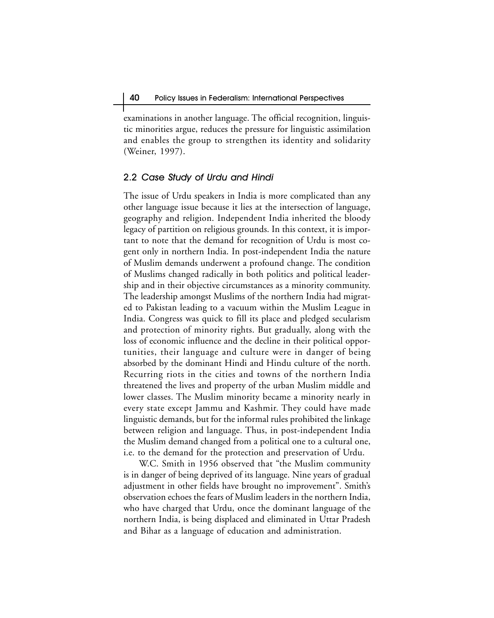examinations in another language. The official recognition, linguistic minorities argue, reduces the pressure for linguistic assimilation and enables the group to strengthen its identity and solidarity (Weiner, 1997).

#### 2.2 Case Study of Urdu and Hindi

The issue of Urdu speakers in India is more complicated than any other language issue because it lies at the intersection of language, geography and religion. Independent India inherited the bloody legacy of partition on religious grounds. In this context, it is important to note that the demand for recognition of Urdu is most cogent only in northern India. In post-independent India the nature of Muslim demands underwent a profound change. The condition of Muslims changed radically in both politics and political leadership and in their objective circumstances as a minority community. The leadership amongst Muslims of the northern India had migrated to Pakistan leading to a vacuum within the Muslim League in India. Congress was quick to fill its place and pledged secularism and protection of minority rights. But gradually, along with the loss of economic influence and the decline in their political opportunities, their language and culture were in danger of being absorbed by the dominant Hindi and Hindu culture of the north. Recurring riots in the cities and towns of the northern India threatened the lives and property of the urban Muslim middle and lower classes. The Muslim minority became a minority nearly in every state except Jammu and Kashmir. They could have made linguistic demands, but for the informal rules prohibited the linkage between religion and language. Thus, in post-independent India the Muslim demand changed from a political one to a cultural one, i.e. to the demand for the protection and preservation of Urdu.

W.C. Smith in 1956 observed that "the Muslim community is in danger of being deprived of its language. Nine years of gradual adjustment in other fields have brought no improvement". Smith's observation echoes the fears of Muslim leaders in the northern India, who have charged that Urdu, once the dominant language of the northern India, is being displaced and eliminated in Uttar Pradesh and Bihar as a language of education and administration.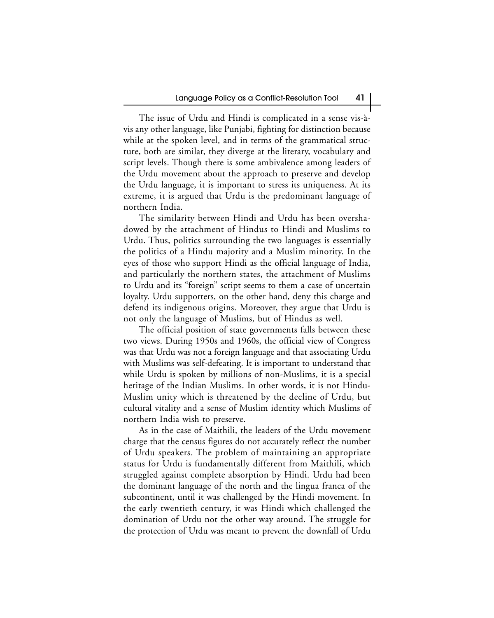The issue of Urdu and Hindi is complicated in a sense vis-àvis any other language, like Punjabi, fighting for distinction because while at the spoken level, and in terms of the grammatical structure, both are similar, they diverge at the literary, vocabulary and script levels. Though there is some ambivalence among leaders of the Urdu movement about the approach to preserve and develop the Urdu language, it is important to stress its uniqueness. At its extreme, it is argued that Urdu is the predominant language of northern India.

The similarity between Hindi and Urdu has been overshadowed by the attachment of Hindus to Hindi and Muslims to Urdu. Thus, politics surrounding the two languages is essentially the politics of a Hindu majority and a Muslim minority. In the eyes of those who support Hindi as the official language of India, and particularly the northern states, the attachment of Muslims to Urdu and its "foreign" script seems to them a case of uncertain loyalty. Urdu supporters, on the other hand, deny this charge and defend its indigenous origins. Moreover, they argue that Urdu is not only the language of Muslims, but of Hindus as well.

The official position of state governments falls between these two views. During 1950s and 1960s, the official view of Congress was that Urdu was not a foreign language and that associating Urdu with Muslims was self-defeating. It is important to understand that while Urdu is spoken by millions of non-Muslims, it is a special heritage of the Indian Muslims. In other words, it is not Hindu-Muslim unity which is threatened by the decline of Urdu, but cultural vitality and a sense of Muslim identity which Muslims of northern India wish to preserve.

As in the case of Maithili, the leaders of the Urdu movement charge that the census figures do not accurately reflect the number of Urdu speakers. The problem of maintaining an appropriate status for Urdu is fundamentally different from Maithili, which struggled against complete absorption by Hindi. Urdu had been the dominant language of the north and the lingua franca of the subcontinent, until it was challenged by the Hindi movement. In the early twentieth century, it was Hindi which challenged the domination of Urdu not the other way around. The struggle for the protection of Urdu was meant to prevent the downfall of Urdu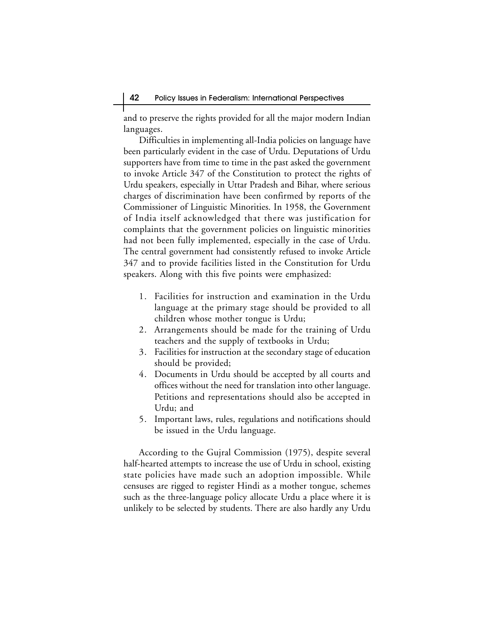and to preserve the rights provided for all the major modern Indian languages.

Difficulties in implementing all-India policies on language have been particularly evident in the case of Urdu. Deputations of Urdu supporters have from time to time in the past asked the government to invoke Article 347 of the Constitution to protect the rights of Urdu speakers, especially in Uttar Pradesh and Bihar, where serious charges of discrimination have been confirmed by reports of the Commissioner of Linguistic Minorities. In 1958, the Government of India itself acknowledged that there was justification for complaints that the government policies on linguistic minorities had not been fully implemented, especially in the case of Urdu. The central government had consistently refused to invoke Article 347 and to provide facilities listed in the Constitution for Urdu speakers. Along with this five points were emphasized:

- 1. Facilities for instruction and examination in the Urdu language at the primary stage should be provided to all children whose mother tongue is Urdu;
- 2. Arrangements should be made for the training of Urdu teachers and the supply of textbooks in Urdu;
- 3. Facilities for instruction at the secondary stage of education should be provided;
- 4. Documents in Urdu should be accepted by all courts and offices without the need for translation into other language. Petitions and representations should also be accepted in Urdu; and
- 5. Important laws, rules, regulations and notifications should be issued in the Urdu language.

According to the Gujral Commission (1975), despite several half-hearted attempts to increase the use of Urdu in school, existing state policies have made such an adoption impossible. While censuses are rigged to register Hindi as a mother tongue, schemes such as the three-language policy allocate Urdu a place where it is unlikely to be selected by students. There are also hardly any Urdu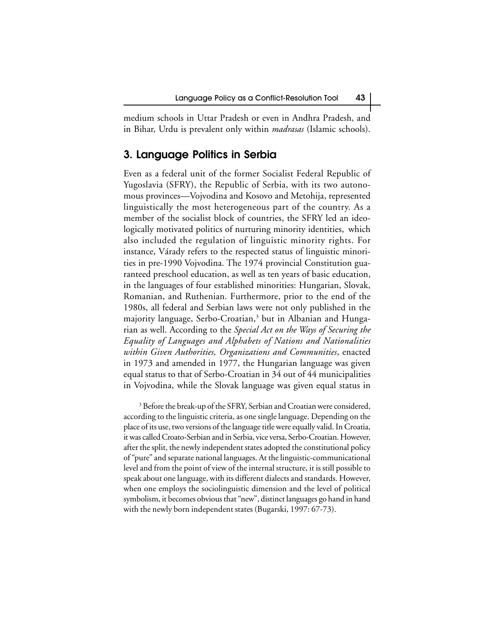medium schools in Uttar Pradesh or even in Andhra Pradesh, and in Bihar, Urdu is prevalent only within *madrasas* (Islamic schools).

## **3. Language Politics in Serbia**

Even as a federal unit of the former Socialist Federal Republic of Yugoslavia (SFRY), the Republic of Serbia, with its two autonomous provinces—Vojvodina and Kosovo and Metohija, represented linguistically the most heterogeneous part of the country. As a member of the socialist block of countries, the SFRY led an ideologically motivated politics of nurturing minority identities, which also included the regulation of linguistic minority rights. For instance, Várady refers to the respected status of linguistic minorities in pre-1990 Vojvodina. The 1974 provincial Constitution guaranteed preschool education, as well as ten years of basic education, in the languages of four established minorities: Hungarian, Slovak, Romanian, and Ruthenian. Furthermore, prior to the end of the 1980s, all federal and Serbian laws were not only published in the majority language, Serbo-Croatian,3 but in Albanian and Hungarian as well. According to the *Special Act on the Ways of Securing the Equality of Languages and Alphabets of Nations and Nationalities within Given Authorities, Organizations and Communities*, enacted in 1973 and amended in 1977, the Hungarian language was given equal status to that of Serbo-Croatian in 34 out of 44 municipalities in Vojvodina, while the Slovak language was given equal status in

<sup>3</sup> Before the break-up of the SFRY, Serbian and Croatian were considered, according to the linguistic criteria, as one single language. Depending on the place of its use, two versions of the language title were equally valid. In Croatia, it was called Croato-Serbian and in Serbia, vice versa, Serbo-Croatian. However, after the split, the newly independent states adopted the constitutional policy of "pure" and separate national languages. At the linguistic-communicational level and from the point of view of the internal structure, it is still possible to speak about one language, with its different dialects and standards. However, when one employs the sociolinguistic dimension and the level of political symbolism, it becomes obvious that "new", distinct languages go hand in hand with the newly born independent states (Bugarski, 1997: 67-73).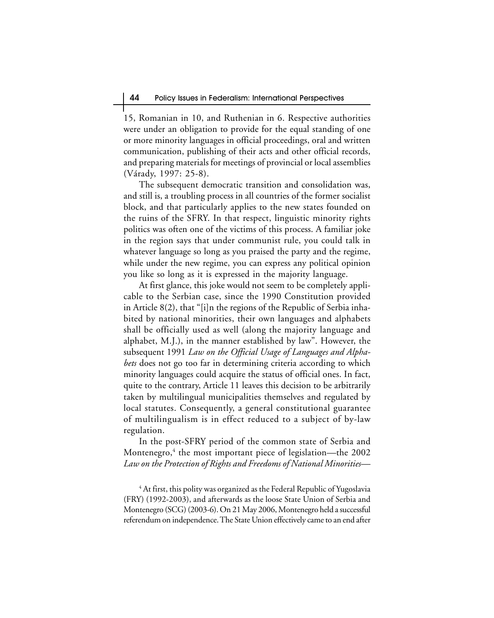15, Romanian in 10, and Ruthenian in 6. Respective authorities were under an obligation to provide for the equal standing of one or more minority languages in official proceedings, oral and written communication, publishing of their acts and other official records, and preparing materials for meetings of provincial or local assemblies (Várady, 1997: 25-8).

The subsequent democratic transition and consolidation was, and still is, a troubling process in all countries of the former socialist block, and that particularly applies to the new states founded on the ruins of the SFRY. In that respect, linguistic minority rights politics was often one of the victims of this process. A familiar joke in the region says that under communist rule, you could talk in whatever language so long as you praised the party and the regime, while under the new regime, you can express any political opinion you like so long as it is expressed in the majority language.

At first glance, this joke would not seem to be completely applicable to the Serbian case, since the 1990 Constitution provided in Article 8(2), that "[i]n the regions of the Republic of Serbia inhabited by national minorities, their own languages and alphabets shall be officially used as well (along the majority language and alphabet, M.J.), in the manner established by law". However, the subsequent 1991 *Law on the Official Usage of Languages and Alphabets* does not go too far in determining criteria according to which minority languages could acquire the status of official ones. In fact, quite to the contrary, Article 11 leaves this decision to be arbitrarily taken by multilingual municipalities themselves and regulated by local statutes. Consequently, a general constitutional guarantee of multilingualism is in effect reduced to a subject of by-law regulation.

In the post-SFRY period of the common state of Serbia and Montenegro,4 the most important piece of legislation—the 2002 *Law on the Protection of Rights and Freedoms of National Minorities*—

 $\rm ^4$  At first, this polity was organized as the Federal Republic of Yugoslavia (FRY) (1992-2003), and afterwards as the loose State Union of Serbia and Montenegro (SCG) (2003-6). On 21 May 2006, Montenegro held a successful referendum on independence. The State Union effectively came to an end after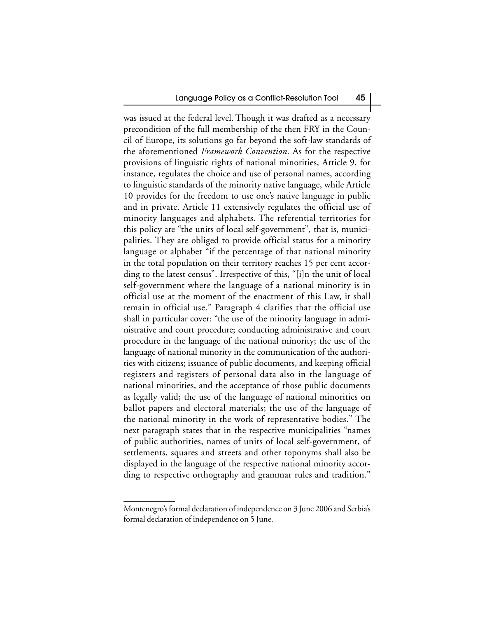was issued at the federal level. Though it was drafted as a necessary precondition of the full membership of the then FRY in the Council of Europe, its solutions go far beyond the soft-law standards of the aforementioned *Framework Convention*. As for the respective provisions of linguistic rights of national minorities, Article 9, for instance, regulates the choice and use of personal names, according to linguistic standards of the minority native language, while Article 10 provides for the freedom to use one's native language in public and in private. Article 11 extensively regulates the official use of minority languages and alphabets. The referential territories for this policy are "the units of local self-government", that is, municipalities. They are obliged to provide official status for a minority language or alphabet "if the percentage of that national minority in the total population on their territory reaches 15 per cent according to the latest census". Irrespective of this, "[i]n the unit of local self-government where the language of a national minority is in official use at the moment of the enactment of this Law, it shall remain in official use." Paragraph 4 clarifies that the official use shall in particular cover: "the use of the minority language in administrative and court procedure; conducting administrative and court procedure in the language of the national minority; the use of the language of national minority in the communication of the authorities with citizens; issuance of public documents, and keeping official registers and registers of personal data also in the language of national minorities, and the acceptance of those public documents as legally valid; the use of the language of national minorities on ballot papers and electoral materials; the use of the language of the national minority in the work of representative bodies." The next paragraph states that in the respective municipalities "names of public authorities, names of units of local self-government, of settlements, squares and streets and other toponyms shall also be displayed in the language of the respective national minority according to respective orthography and grammar rules and tradition."

Montenegro's formal declaration of independence on 3 June 2006 and Serbia's formal declaration of independence on 5 June.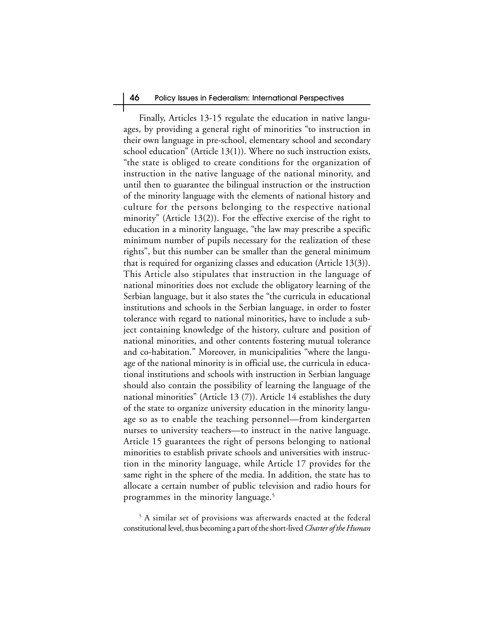#### 46 Policy Issues in Federalism: International Perspectives

Finally, Articles 13-15 regulate the education in native languages, by providing a general right of minorities "to instruction in their own language in pre-school, elementary school and secondary school education" (Article 13(1)). Where no such instruction exists, "the state is obliged to create conditions for the organization of instruction in the native language of the national minority, and until then to guarantee the bilingual instruction or the instruction of the minority language with the elements of national history and culture for the persons belonging to the respective national minority" (Article 13(2)). For the effective exercise of the right to education in a minority language, "the law may prescribe a specific minimum number of pupils necessary for the realization of these rights", but this number can be smaller than the general minimum that is required for organizing classes and education (Article 13(3)). This Article also stipulates that instruction in the language of national minorities does not exclude the obligatory learning of the Serbian language, but it also states the "the curricula in educational institutions and schools in the Serbian language, in order to foster tolerance with regard to national minorities**,** have to include a subject containing knowledge of the history, culture and position of national minorities, and other contents fostering mutual tolerance and co-habitation." Moreover, in municipalities "where the language of the national minority is in official use, the curricula in educational institutions and schools with instruction in Serbian language should also contain the possibility of learning the language of the national minorities" (Article 13 (7)). Article 14 establishes the duty of the state to organize university education in the minority language so as to enable the teaching personnel—from kindergarten nurses to university teachers—to instruct in the native language. Article 15 guarantees the right of persons belonging to national minorities to establish private schools and universities with instruction in the minority language, while Article 17 provides for the same right in the sphere of the media. In addition, the state has to allocate a certain number of public television and radio hours for programmes in the minority language.<sup>5</sup>

 $^5$  A similar set of provisions was afterwards enacted at the federal constitutional level, thus becoming a part of the short-lived *Charter of the Human*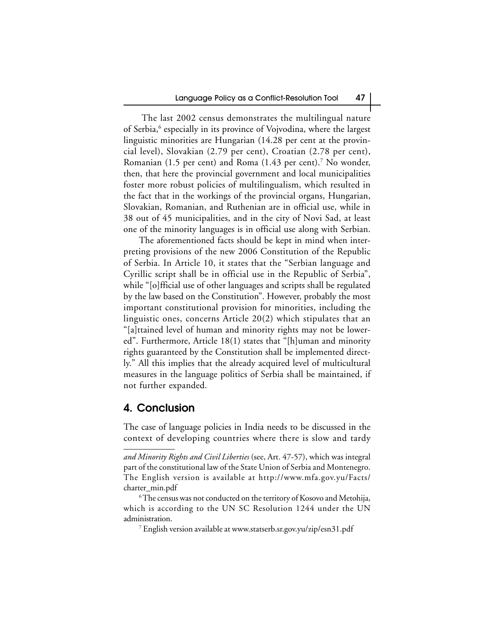The last 2002 census demonstrates the multilingual nature of Serbia,<sup>6</sup> especially in its province of Vojvodina, where the largest linguistic minorities are Hungarian (14.28 per cent at the provincial level), Slovakian (2.79 per cent), Croatian (2.78 per cent), Romanian (1.5 per cent) and Roma (1.43 per cent).<sup>7</sup> No wonder, then, that here the provincial government and local municipalities foster more robust policies of multilingualism, which resulted in the fact that in the workings of the provincial organs, Hungarian, Slovakian, Romanian, and Ruthenian are in official use, while in 38 out of 45 municipalities, and in the city of Novi Sad, at least one of the minority languages is in official use along with Serbian.

The aforementioned facts should be kept in mind when interpreting provisions of the new 2006 Constitution of the Republic of Serbia. In Article 10, it states that the "Serbian language and Cyrillic script shall be in official use in the Republic of Serbia", while "[o]fficial use of other languages and scripts shall be regulated by the law based on the Constitution". However, probably the most important constitutional provision for minorities, including the linguistic ones, concerns Article 20(2) which stipulates that an "[a]ttained level of human and minority rights may not be lowered". Furthermore, Article 18(1) states that "[h]uman and minority rights guaranteed by the Constitution shall be implemented directly." All this implies that the already acquired level of multicultural measures in the language politics of Serbia shall be maintained, if not further expanded.

## **4. Conclusion**

The case of language policies in India needs to be discussed in the context of developing countries where there is slow and tardy

7 English version available at www.statserb.sr.gov.yu/zip/esn31.pdf

*and Minority Rights and Civil Liberties* (see, Art. 47-57), which was integral part of the constitutional law of the State Union of Serbia and Montenegro. The English version is available at http://www.mfa.gov.yu/Facts/ charter\_min.pdf

 $\rm ^6$ The census was not conducted on the territory of Kosovo and Metohija, which is according to the UN SC Resolution 1244 under the UN administration.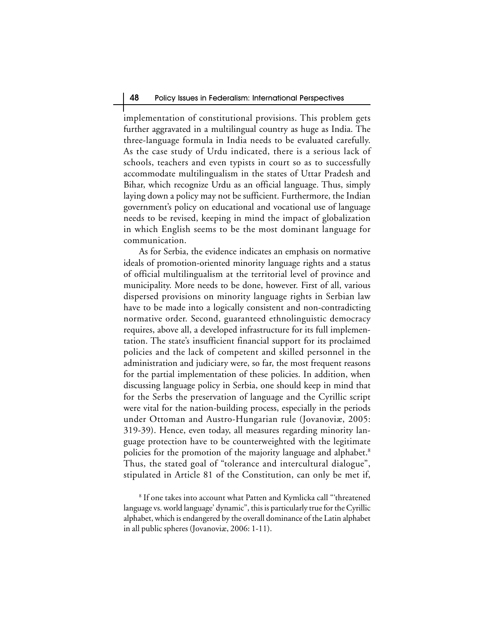implementation of constitutional provisions. This problem gets further aggravated in a multilingual country as huge as India. The three-language formula in India needs to be evaluated carefully. As the case study of Urdu indicated, there is a serious lack of schools, teachers and even typists in court so as to successfully accommodate multilingualism in the states of Uttar Pradesh and Bihar, which recognize Urdu as an official language. Thus, simply laying down a policy may not be sufficient. Furthermore, the Indian government's policy on educational and vocational use of language needs to be revised, keeping in mind the impact of globalization in which English seems to be the most dominant language for communication.

As for Serbia, the evidence indicates an emphasis on normative ideals of promotion-oriented minority language rights and a status of official multilingualism at the territorial level of province and municipality. More needs to be done, however. First of all, various dispersed provisions on minority language rights in Serbian law have to be made into a logically consistent and non-contradicting normative order. Second, guaranteed ethnolinguistic democracy requires, above all, a developed infrastructure for its full implementation. The state's insufficient financial support for its proclaimed policies and the lack of competent and skilled personnel in the administration and judiciary were, so far, the most frequent reasons for the partial implementation of these policies. In addition, when discussing language policy in Serbia, one should keep in mind that for the Serbs the preservation of language and the Cyrillic script were vital for the nation-building process, especially in the periods under Ottoman and Austro-Hungarian rule (Jovanoviæ, 2005: 319-39). Hence, even today, all measures regarding minority language protection have to be counterweighted with the legitimate policies for the promotion of the majority language and alphabet.<sup>8</sup> Thus, the stated goal of "tolerance and intercultural dialogue", stipulated in Article 81 of the Constitution, can only be met if,

 $^{\rm 8}$  If one takes into account what Patten and Kymlicka call "'threatened language vs. world language' dynamic", this is particularly true for the Cyrillic alphabet, which is endangered by the overall dominance of the Latin alphabet in all public spheres (Jovanoviæ, 2006: 1-11).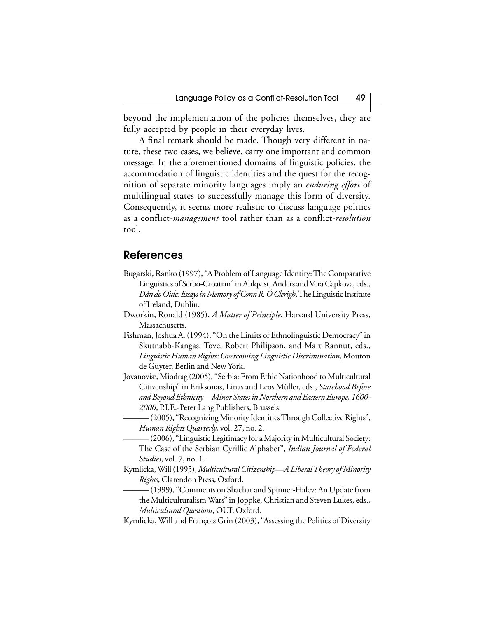beyond the implementation of the policies themselves, they are fully accepted by people in their everyday lives.

A final remark should be made. Though very different in nature, these two cases, we believe, carry one important and common message. In the aforementioned domains of linguistic policies, the accommodation of linguistic identities and the quest for the recognition of separate minority languages imply an *enduring effort* of multilingual states to successfully manage this form of diversity. Consequently, it seems more realistic to discuss language politics as a conflict*-management* tool rather than as a conflict-*resolution* tool.

### **References**

- Bugarski, Ranko (1997), "A Problem of Language Identity: The Comparative Linguistics of Serbo-Croatian" in Ahlqvist, Anders and Vera Capkova, eds., *Dán do Óide: Essays in Memory of Conn R. Ó Clerigh*, The Linguistic Institute of Ireland, Dublin.
- Dworkin, Ronald (1985), *A Matter of Principle*, Harvard University Press, Massachusetts.
- Fishman, Joshua A. (1994), "On the Limits of Ethnolinguistic Democracy" in Skutnabb-Kangas, Tove, Robert Philipson, and Mart Rannut, eds., *Linguistic Human Rights: Overcoming Linguistic Discrimination*, Mouton de Guyter, Berlin and New York.
- Jovanoviæ, Miodrag (2005), "Serbia: From Ethic Nationhood to Multicultural Citizenship" in Eriksonas, Linas and Leos Müller, eds., *Statehood Before and Beyond Ethnicity—Minor States in Northern and Eastern Europe, 1600- 2000*, P.I.E.-Peter Lang Publishers, Brussels.
	- (2005), "Recognizing Minority Identities Through Collective Rights", *Human Rights Quarterly*, vol. 27, no. 2.
	- (2006), "Linguistic Legitimacy for a Majority in Multicultural Society: The Case of the Serbian Cyrillic Alphabet", *Indian Journal of Federal Studies*, vol. 7, no. 1.
- Kymlicka, Will (1995), *Multicultural Citizenship—A Liberal Theory of Minority Rights*, Clarendon Press, Oxford.
	- (1999), "Comments on Shachar and Spinner-Halev: An Update from the Multiculturalism Wars" in Joppke, Christian and Steven Lukes, eds., *Multicultural Questions*, OUP, Oxford.
- Kymlicka, Will and François Grin (2003), "Assessing the Politics of Diversity